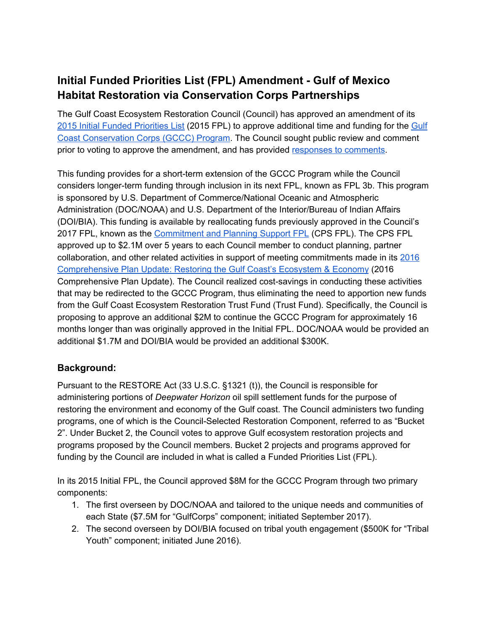## **Initial Funded Priorities List (FPL) Amendment - Gulf of Mexico Habitat Restoration via Conservation Corps Partnerships**

 The Gulf Coast Ecosystem Restoration Council (Council) has approved an amendment of its 2015 Initial Funded [Priorities](https://restorethegulf.gov/council-selected-restoration-component/initial-2015-funded-priorities-list) List (2015 FPL) to approve additional time and funding for the [Gulf](https://www.restorethegulf.gov/sites/default/files/FPL_forDec9Vote_Errata_04-07-2016.pdf#page=254) Coast [Conservation](https://www.restorethegulf.gov/sites/default/files/FPL_forDec9Vote_Errata_04-07-2016.pdf#page=254) Corps (GCCC) Program. The Council sought public review and comment prior to voting to approve the amendment, and has provided responses to [comments](https://www.restorethegulf.gov/sites/default/files/GCCC%20Program%20Initial%20FPL%20Amendment%20-%20Public%20Comments_draft%20final%20508.pdf).

 This funding provides for a short-term extension of the GCCC Program while the Council considers longer-term funding through inclusion in its next FPL, known as FPL 3b. This program is sponsored by U.S. Department of Commerce/National Oceanic and Atmospheric Administration (DOC/NOAA) and U.S. Department of the Interior/Bureau of Indian Affairs (DOI/BIA). This funding is available by reallocating funds previously approved in the Council's 2017 FPL, known as the *[Commitment](https://www.restorethegulf.gov/sites/default/files/2017_CPS_FPL_Final.pdf) and Planning Support FPL* [\(CPS](https://www.restorethegulf.gov/sites/default/files/2017_CPS_FPL_Final.pdf) FPL). The CPS FPL approved up to \$2.1M over 5 years to each Council member to conduct planning, partner collaboration, and other related activities in support of meeting commitments made in its [2016](https://www.restorethegulf.gov/sites/default/files/CO-PL_20161208_CompPlanUpdate_English.pdf) [Comprehensive](https://www.restorethegulf.gov/sites/default/files/CO-PL_20161208_CompPlanUpdate_English.pdf) Plan Update: Restoring the Gulf Coast's Ecosystem & Economy (2016 Comprehensive Plan Update). The Council realized cost-savings in conducting these activities that may be redirected to the GCCC Program, thus eliminating the need to apportion new funds from the Gulf Coast Ecosystem Restoration Trust Fund (Trust Fund). Specifically, the Council is proposing to approve an additional \$2M to continue the GCCC Program for approximately 16 months longer than was originally approved in the Initial FPL. DOC/NOAA would be provided an additional \$1.7M and DOI/BIA would be provided an additional \$300K.

## **Background:**

 Pursuant to the RESTORE Act (33 U.S.C. §1321 (t)), the Council is responsible for administering portions of *Deepwater Horizon* oil spill settlement funds for the purpose of restoring the environment and economy of the Gulf coast. The Council administers two funding programs, one of which is the Council-Selected Restoration Component, referred to as "Bucket 2". Under Bucket 2, the Council votes to approve Gulf ecosystem restoration projects and programs proposed by the Council members. Bucket 2 projects and programs approved for funding by the Council are included in what is called a Funded Priorities List (FPL).

 In its 2015 Initial FPL, the Council approved \$8M for the GCCC Program through two primary components:

- 1. The first overseen by DOC/NOAA and tailored to the unique needs and communities of each State (\$7.5M for "GulfCorps" component; initiated September 2017).
- 2. The second overseen by DOI/BIA focused on tribal youth engagement (\$500K for "Tribal Youth" component; initiated June 2016).